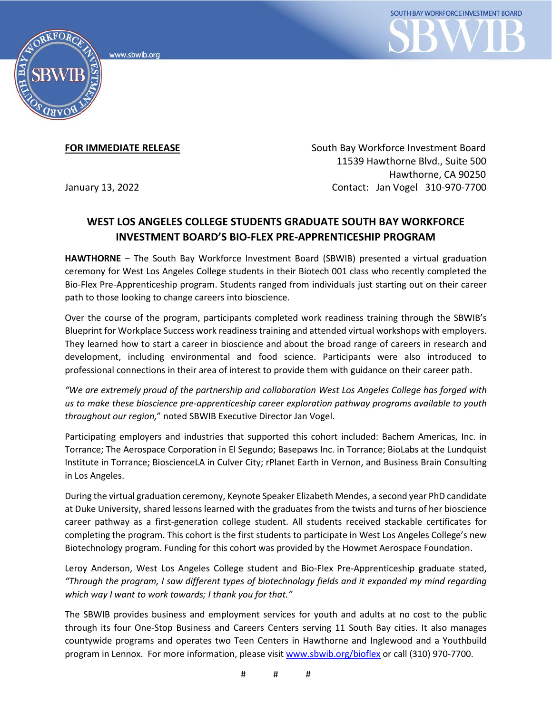



**FOR IMMEDIATE RELEASE** South Bay Workforce Investment Board 11539 Hawthorne Blvd., Suite 500 Hawthorne, CA 90250 January 13, 2022 Contact: Jan Vogel 310-970-7700

## **WEST LOS ANGELES COLLEGE STUDENTS GRADUATE SOUTH BAY WORKFORCE INVESTMENT BOARD'S BIO-FLEX PRE-APPRENTICESHIP PROGRAM**

**HAWTHORNE** – The South Bay Workforce Investment Board (SBWIB) presented a virtual graduation ceremony for West Los Angeles College students in their Biotech 001 class who recently completed the Bio-Flex Pre-Apprenticeship program. Students ranged from individuals just starting out on their career path to those looking to change careers into bioscience.

Over the course of the program, participants completed work readiness training through the SBWIB's Blueprint for Workplace Success work readiness training and attended virtual workshops with employers. They learned how to start a career in bioscience and about the broad range of careers in research and development, including environmental and food science. Participants were also introduced to professional connections in their area of interest to provide them with guidance on their career path.

*"We are extremely proud of the partnership and collaboration West Los Angeles College has forged with us to make these bioscience pre-apprenticeship career exploration pathway programs available to youth throughout our region,*" noted SBWIB Executive Director Jan Vogel.

Participating employers and industries that supported this cohort included: Bachem Americas, Inc. in Torrance; The Aerospace Corporation in El Segundo; Basepaws Inc. in Torrance; BioLabs at the Lundquist Institute in Torrance; BioscienceLA in Culver City; rPlanet Earth in Vernon, and Business Brain Consulting in Los Angeles.

During the virtual graduation ceremony, Keynote Speaker Elizabeth Mendes, a second year PhD candidate at Duke University, shared lessons learned with the graduates from the twists and turns of her bioscience career pathway as a first-generation college student. All students received stackable certificates for completing the program. This cohort is the first students to participate in West Los Angeles College's new Biotechnology program. Funding for this cohort was provided by the Howmet Aerospace Foundation.

Leroy Anderson, West Los Angeles College student and Bio-Flex Pre-Apprenticeship graduate stated, *"Through the program, I saw different types of biotechnology fields and it expanded my mind regarding which way I want to work towards; I thank you for that."*

The SBWIB provides business and employment services for youth and adults at no cost to the public through its four One-Stop Business and Careers Centers serving 11 South Bay cities. It also manages countywide programs and operates two Teen Centers in Hawthorne and Inglewood and a Youthbuild program in Lennox. For more information, please visit [www.sbwib.org/bioflex](http://www.sbwib.org/bioflex) or call (310) 970-7700.

# # #